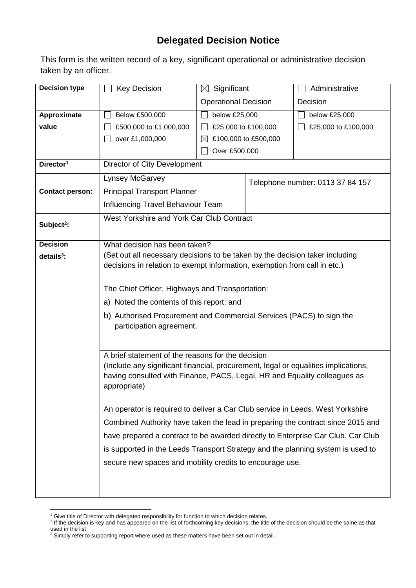## **Delegated Decision Notice**

This form is the written record of a key, significant operational or administrative decision taken by an officer.

| <b>Decision type</b>   | <b>Key Decision</b>                                                                                                                                       | $\boxtimes$ Significant     |                                  | Administrative      |  |  |  |
|------------------------|-----------------------------------------------------------------------------------------------------------------------------------------------------------|-----------------------------|----------------------------------|---------------------|--|--|--|
|                        |                                                                                                                                                           | <b>Operational Decision</b> |                                  | Decision            |  |  |  |
| Approximate            | Below £500,000                                                                                                                                            | below £25,000               |                                  | below £25,000       |  |  |  |
| value                  | £500,000 to £1,000,000                                                                                                                                    | £25,000 to £100,000         |                                  | £25,000 to £100,000 |  |  |  |
|                        | over £1,000,000                                                                                                                                           | $\bowtie$                   | £100,000 to £500,000             |                     |  |  |  |
|                        |                                                                                                                                                           | Over £500,000               |                                  |                     |  |  |  |
| Director <sup>1</sup>  | Director of City Development                                                                                                                              |                             |                                  |                     |  |  |  |
|                        | Lynsey McGarvey                                                                                                                                           |                             | Telephone number: 0113 37 84 157 |                     |  |  |  |
| <b>Contact person:</b> | <b>Principal Transport Planner</b>                                                                                                                        |                             |                                  |                     |  |  |  |
|                        | Influencing Travel Behaviour Team                                                                                                                         |                             |                                  |                     |  |  |  |
| Subject <sup>2</sup> : | West Yorkshire and York Car Club Contract                                                                                                                 |                             |                                  |                     |  |  |  |
|                        |                                                                                                                                                           |                             |                                  |                     |  |  |  |
| <b>Decision</b>        | What decision has been taken?                                                                                                                             |                             |                                  |                     |  |  |  |
| $details3$ :           | (Set out all necessary decisions to be taken by the decision taker including<br>decisions in relation to exempt information, exemption from call in etc.) |                             |                                  |                     |  |  |  |
|                        |                                                                                                                                                           |                             |                                  |                     |  |  |  |
|                        | The Chief Officer, Highways and Transportation:                                                                                                           |                             |                                  |                     |  |  |  |
|                        | a) Noted the contents of this report; and                                                                                                                 |                             |                                  |                     |  |  |  |
|                        | b) Authorised Procurement and Commercial Services (PACS) to sign the<br>participation agreement.                                                          |                             |                                  |                     |  |  |  |
|                        | A brief statement of the reasons for the decision                                                                                                         |                             |                                  |                     |  |  |  |
|                        | (Include any significant financial, procurement, legal or equalities implications,                                                                        |                             |                                  |                     |  |  |  |
|                        | having consulted with Finance, PACS, Legal, HR and Equality colleagues as                                                                                 |                             |                                  |                     |  |  |  |
|                        | appropriate)                                                                                                                                              |                             |                                  |                     |  |  |  |
|                        | An operator is required to deliver a Car Club service in Leeds. West Yorkshire                                                                            |                             |                                  |                     |  |  |  |
|                        | Combined Authority have taken the lead in preparing the contract since 2015 and                                                                           |                             |                                  |                     |  |  |  |
|                        | have prepared a contract to be awarded directly to Enterprise Car Club. Car Club                                                                          |                             |                                  |                     |  |  |  |
|                        | is supported in the Leeds Transport Strategy and the planning system is used to                                                                           |                             |                                  |                     |  |  |  |
|                        | secure new spaces and mobility credits to encourage use.                                                                                                  |                             |                                  |                     |  |  |  |
|                        |                                                                                                                                                           |                             |                                  |                     |  |  |  |
|                        |                                                                                                                                                           |                             |                                  |                     |  |  |  |
|                        |                                                                                                                                                           |                             |                                  |                     |  |  |  |

1

<sup>&</sup>lt;sup>1</sup> Give title of Director with delegated responsibility for function to which decision relates.<br><sup>2</sup> If the decision is key and has appeared on the list of forthcoming key decisions, the title of the decision should be the used in the list

 $3$  Simply refer to supporting report where used as these matters have been set out in detail.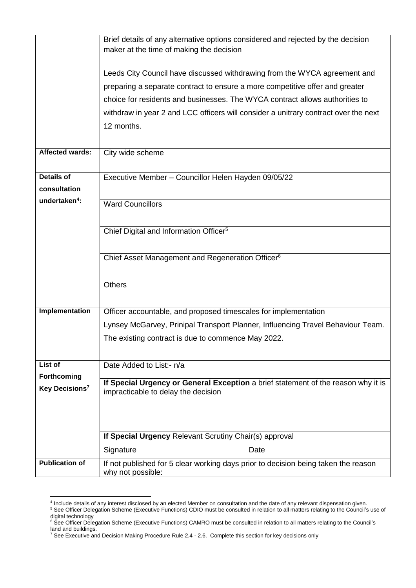|                                           | Brief details of any alternative options considered and rejected by the decision                                                                          |  |  |  |  |
|-------------------------------------------|-----------------------------------------------------------------------------------------------------------------------------------------------------------|--|--|--|--|
|                                           | maker at the time of making the decision                                                                                                                  |  |  |  |  |
|                                           | Leeds City Council have discussed withdrawing from the WYCA agreement and<br>preparing a separate contract to ensure a more competitive offer and greater |  |  |  |  |
|                                           |                                                                                                                                                           |  |  |  |  |
|                                           | choice for residents and businesses. The WYCA contract allows authorities to                                                                              |  |  |  |  |
|                                           | withdraw in year 2 and LCC officers will consider a unitrary contract over the next                                                                       |  |  |  |  |
|                                           | 12 months.                                                                                                                                                |  |  |  |  |
|                                           |                                                                                                                                                           |  |  |  |  |
| <b>Affected wards:</b>                    | City wide scheme                                                                                                                                          |  |  |  |  |
| <b>Details of</b>                         | Executive Member - Councillor Helen Hayden 09/05/22                                                                                                       |  |  |  |  |
| consultation                              |                                                                                                                                                           |  |  |  |  |
| undertaken <sup>4</sup> :                 | <b>Ward Councillors</b>                                                                                                                                   |  |  |  |  |
|                                           |                                                                                                                                                           |  |  |  |  |
|                                           | Chief Digital and Information Officer <sup>5</sup>                                                                                                        |  |  |  |  |
|                                           |                                                                                                                                                           |  |  |  |  |
|                                           | Chief Asset Management and Regeneration Officer <sup>6</sup>                                                                                              |  |  |  |  |
|                                           |                                                                                                                                                           |  |  |  |  |
|                                           | <b>Others</b>                                                                                                                                             |  |  |  |  |
|                                           |                                                                                                                                                           |  |  |  |  |
| Implementation                            | Officer accountable, and proposed timescales for implementation                                                                                           |  |  |  |  |
|                                           | Lynsey McGarvey, Prinipal Transport Planner, Influencing Travel Behaviour Team.                                                                           |  |  |  |  |
|                                           | The existing contract is due to commence May 2022.                                                                                                        |  |  |  |  |
|                                           |                                                                                                                                                           |  |  |  |  |
| List of                                   | Date Added to List:- n/a                                                                                                                                  |  |  |  |  |
| Forthcoming<br>Key Decisions <sup>7</sup> | If Special Urgency or General Exception a brief statement of the reason why it is                                                                         |  |  |  |  |
|                                           | impracticable to delay the decision                                                                                                                       |  |  |  |  |
|                                           |                                                                                                                                                           |  |  |  |  |
|                                           |                                                                                                                                                           |  |  |  |  |
|                                           | If Special Urgency Relevant Scrutiny Chair(s) approval                                                                                                    |  |  |  |  |
|                                           | Signature<br>Date                                                                                                                                         |  |  |  |  |
| <b>Publication of</b>                     | If not published for 5 clear working days prior to decision being taken the reason                                                                        |  |  |  |  |
|                                           | why not possible:                                                                                                                                         |  |  |  |  |

 4 Include details of any interest disclosed by an elected Member on consultation and the date of any relevant dispensation given. <sup>5</sup> See Officer Delegation Scheme (Executive Functions) CDIO must be consulted in relation to all matters relating to the Council's use of digital technology

<sup>&</sup>lt;sup>6</sup> See Officer Delegation Scheme (Executive Functions) CAMRO must be consulted in relation to all matters relating to the Council's land and buildings.

 $^7$  See Executive and Decision Making Procedure Rule 2.4 - 2.6. Complete this section for key decisions only